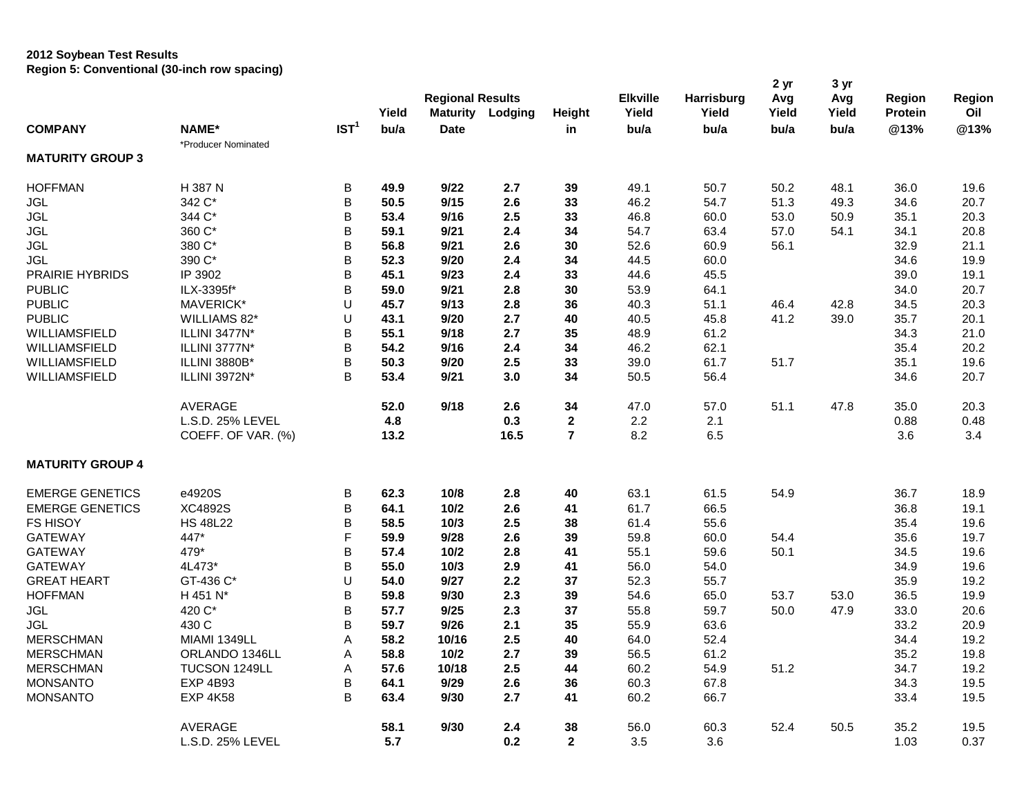## **2012 Soybean Test Results Region 5: Conventional (30-inch row spacing)**

|                         |                     |                  |       | <b>Regional Results</b> |                         | <b>Elkville</b> | Harrisburg | 2 yr<br>Avg | 3 yr<br>Avg | Region | Region         |      |
|-------------------------|---------------------|------------------|-------|-------------------------|-------------------------|-----------------|------------|-------------|-------------|--------|----------------|------|
|                         |                     |                  | Yield |                         | <b>Maturity Lodging</b> | Height          | Yield      | Yield       | Yield       | Yield  | <b>Protein</b> | Oil  |
| <b>COMPANY</b>          | <b>NAME*</b>        | IST <sup>1</sup> | bu/a  | <b>Date</b>             |                         | in              | bu/a       | bu/a        | bu/a        | bu/a   | @13%           | @13% |
|                         | *Producer Nominated |                  |       |                         |                         |                 |            |             |             |        |                |      |
| <b>MATURITY GROUP 3</b> |                     |                  |       |                         |                         |                 |            |             |             |        |                |      |
| <b>HOFFMAN</b>          | H 387 N             | В                | 49.9  | 9/22                    | 2.7                     | 39              | 49.1       | 50.7        | 50.2        | 48.1   | 36.0           | 19.6 |
| <b>JGL</b>              | 342 C*              | B                | 50.5  | 9/15                    | 2.6                     | 33              | 46.2       | 54.7        | 51.3        | 49.3   | 34.6           | 20.7 |
| <b>JGL</b>              | 344 C*              | B                | 53.4  | 9/16                    | 2.5                     | 33              | 46.8       | 60.0        | 53.0        | 50.9   | 35.1           | 20.3 |
| <b>JGL</b>              | 360 C*              | B                | 59.1  | 9/21                    | 2.4                     | 34              | 54.7       | 63.4        | 57.0        | 54.1   | 34.1           | 20.8 |
| <b>JGL</b>              | 380 C*              | B                | 56.8  | 9/21                    | 2.6                     | 30              | 52.6       | 60.9        | 56.1        |        | 32.9           | 21.1 |
| <b>JGL</b>              | 390 C*              | B                | 52.3  | 9/20                    | 2.4                     | 34              | 44.5       | 60.0        |             |        | 34.6           | 19.9 |
| PRAIRIE HYBRIDS         | IP 3902             | B                | 45.1  | 9/23                    | 2.4                     | 33              | 44.6       | 45.5        |             |        | 39.0           | 19.1 |
| <b>PUBLIC</b>           | ILX-3395f*          | B                | 59.0  | 9/21                    | 2.8                     | 30              | 53.9       | 64.1        |             |        | 34.0           | 20.7 |
| <b>PUBLIC</b>           | MAVERICK*           | U                | 45.7  | 9/13                    | 2.8                     | 36              | 40.3       | 51.1        | 46.4        | 42.8   | 34.5           | 20.3 |
| <b>PUBLIC</b>           | WILLIAMS 82*        | U                | 43.1  | 9/20                    | 2.7                     | 40              | 40.5       | 45.8        | 41.2        | 39.0   | 35.7           | 20.1 |
| WILLIAMSFIELD           | ILLINI 3477N*       | B                | 55.1  | 9/18                    | 2.7                     | 35              | 48.9       | 61.2        |             |        | 34.3           | 21.0 |
| WILLIAMSFIELD           | ILLINI 3777N*       | B                | 54.2  | 9/16                    | 2.4                     | 34              | 46.2       | 62.1        |             |        | 35.4           | 20.2 |
| WILLIAMSFIELD           | ILLINI 3880B*       | В                | 50.3  | 9/20                    | 2.5                     | 33              | 39.0       | 61.7        | 51.7        |        | 35.1           | 19.6 |
| WILLIAMSFIELD           | ILLINI 3972N*       | B                | 53.4  | 9/21                    | 3.0                     | 34              | 50.5       | 56.4        |             |        | 34.6           | 20.7 |
|                         | <b>AVERAGE</b>      |                  | 52.0  | 9/18                    | 2.6                     | 34              | 47.0       | 57.0        | 51.1        | 47.8   | 35.0           | 20.3 |
|                         | L.S.D. 25% LEVEL    |                  | 4.8   |                         | 0.3                     | $\mathbf{2}$    | 2.2        | 2.1         |             |        | 0.88           | 0.48 |
|                         | COEFF. OF VAR. (%)  |                  | 13.2  |                         | 16.5                    | $\overline{7}$  | 8.2        | 6.5         |             |        | 3.6            | 3.4  |
| <b>MATURITY GROUP 4</b> |                     |                  |       |                         |                         |                 |            |             |             |        |                |      |
| <b>EMERGE GENETICS</b>  | e4920S              | B                | 62.3  | 10/8                    | 2.8                     | 40              | 63.1       | 61.5        | 54.9        |        | 36.7           | 18.9 |
| <b>EMERGE GENETICS</b>  | XC4892S             | B                | 64.1  | 10/2                    | 2.6                     | 41              | 61.7       | 66.5        |             |        | 36.8           | 19.1 |
| <b>FS HISOY</b>         | <b>HS 48L22</b>     | B                | 58.5  | 10/3                    | 2.5                     | 38              | 61.4       | 55.6        |             |        | 35.4           | 19.6 |
| <b>GATEWAY</b>          | 447*                | F                | 59.9  | 9/28                    | 2.6                     | 39              | 59.8       | 60.0        | 54.4        |        | 35.6           | 19.7 |
| <b>GATEWAY</b>          | 479*                | B                | 57.4  | 10/2                    | 2.8                     | 41              | 55.1       | 59.6        | 50.1        |        | 34.5           | 19.6 |
| <b>GATEWAY</b>          | 4L473*              | B                | 55.0  | 10/3                    | 2.9                     | 41              | 56.0       | 54.0        |             |        | 34.9           | 19.6 |
| <b>GREAT HEART</b>      | GT-436 C*           | U                | 54.0  | 9/27                    | 2.2                     | 37              | 52.3       | 55.7        |             |        | 35.9           | 19.2 |
| <b>HOFFMAN</b>          | H 451 N*            | B                | 59.8  | 9/30                    | 2.3                     | 39              | 54.6       | 65.0        | 53.7        | 53.0   | 36.5           | 19.9 |
| <b>JGL</b>              | 420 C*              | B                | 57.7  | 9/25                    | 2.3                     | 37              | 55.8       | 59.7        | 50.0        | 47.9   | 33.0           | 20.6 |
| <b>JGL</b>              | 430 C               | B                | 59.7  | 9/26                    | 2.1                     | 35              | 55.9       | 63.6        |             |        | 33.2           | 20.9 |
| <b>MERSCHMAN</b>        | MIAMI 1349LL        | Α                | 58.2  | 10/16                   | 2.5                     | 40              | 64.0       | 52.4        |             |        | 34.4           | 19.2 |
| <b>MERSCHMAN</b>        | ORLANDO 1346LL      | A                | 58.8  | $10/2$                  | 2.7                     | 39              | 56.5       | 61.2        |             |        | 35.2           | 19.8 |
| <b>MERSCHMAN</b>        | TUCSON 1249LL       | Α                | 57.6  | 10/18                   | 2.5                     | 44              | 60.2       | 54.9        | 51.2        |        | 34.7           | 19.2 |
| <b>MONSANTO</b>         | <b>EXP 4B93</b>     | B                | 64.1  | 9/29                    | 2.6                     | 36              | 60.3       | 67.8        |             |        | 34.3           | 19.5 |
| <b>MONSANTO</b>         | <b>EXP 4K58</b>     | B                | 63.4  | 9/30                    | 2.7                     | 41              | 60.2       | 66.7        |             |        | 33.4           | 19.5 |
|                         | <b>AVERAGE</b>      |                  | 58.1  | 9/30                    | 2.4                     | 38              | 56.0       | 60.3        | 52.4        | 50.5   | 35.2           | 19.5 |
|                         | L.S.D. 25% LEVEL    |                  | 5.7   |                         | 0.2                     | $\overline{2}$  | 3.5        | 3.6         |             |        | 1.03           | 0.37 |